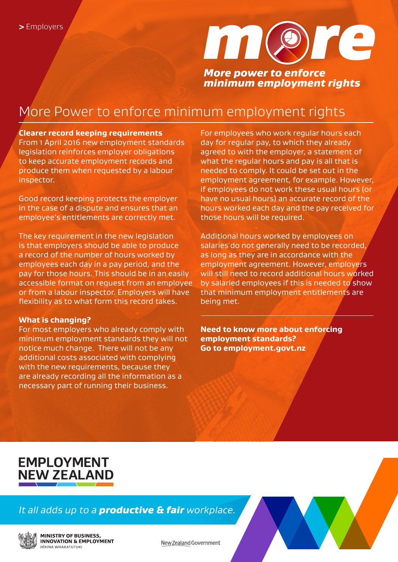

# More Power to enforce minimum employment rights

### **Clearer record keeping requirements**

From 1 April 2016 new employment standards legislation reinforces employer obligations to keep accurate employment records and produce them when requested by a labour inspector.

Good record keeping protects the employer in the case of a dispute and ensures that an employee's entitlements are correctly met.

The key requirement in the new legislation is that employers should be able to produce a record of the number of hours worked by employees each day in a pay period, and the pay for those hours. This should be in an easily accessible format on request from an employee or from a labour inspector. Employers will have flexibility as to what form this record takes.

### **What is changing?**

For most employers who already comply with minimum employment standards they will not notice much change. There will not be any additional costs associated with complying with the new requirements, because they are already recording all the information as a necessary part of running their business.

For employees who work regular hours each day for regular pay, to which they already agreed to with the employer, a statement of what the regular hours and pay is all that is needed to comply. It could be set out in the employment agreement, for example. However, if employees do not work these usual hours (or have no usual hours) an accurate record of the hours worked each day and the pay received for those hours will be required.

Additional hours worked by employees on salaries do not generally need to be recorded, as long as they are in accordance with the employment agreement. However, employers will still need to record additional hours worked by salaried employees if this is needed to show that minimum employment entitlements are being met.

**Need to know more about enforcing employment standards? Go to employment.govt.nz**

# **EMPLOYMENT NEW ZEALAND**

### *It all adds up to a productive & fair workplace.*



**MINISTRY OF BUSINESS, INNOVATION & EMPLOYMENT TKINA WHAKATIITIIKI** 

New Zealand Government